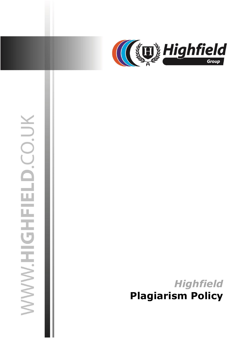

# WWW.HIGHFIELD.CO.UK

03 July 2019 jasonsprenger

# *Highfield* **Plagiarism Policy**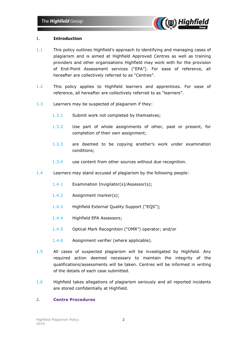

### 1. **Introduction**

- 1.1 This policy outlines Highfield's approach to identifying and managing cases of plagiarism and is aimed at Highfield Approved Centres as well as training providers and other organisations Highfield may work with for the provision of End-Point Assessment services ("EPA"). For ease of reference, all hereafter are collectively referred to as "Centres".
- 1.2 This policy applies to Highfield learners and apprentices. For ease of reference, all hereafter are collectively referred to as "learners".
- 1.3 Learners may be suspected of plagiarism if they:
	- 1.3.1 Submit work not completed by themselves;
	- 1.3.2 Use part of whole assignments of other, past or present, for completion of their own assignment;
	- 1.3.3 are deemed to be copying another's work under examination conditions;
	- 1.3.4 use content from other sources without due recognition.
- 1.4 Learners may stand accused of plagiarism by the following people:
	- 1.4.1 Examination Invigilator(s)/Assessor(s);
	- 1.4.2 Assignment marker(s);
	- 1.4.3 Highfield External Quality Support ("EQS");
	- 1.4.4 Highfield EPA Assessors;
	- 1.4.5 Optical Mark Recognition ("OMR") operator; and/or
	- 1.4.6 Assignment verifier (where applicable).
- 1.5 All cases of suspected plagiarism will be investigated by Highfield. Any required action deemed necessary to maintain the integrity of the qualifications/assessments will be taken. Centres will be informed in writing of the details of each case submitted.
- 1.6 Highfield takes allegations of plagiarism seriously and all reported incidents are stored confidentially at Highfield.

### 2. **Centre Procedures**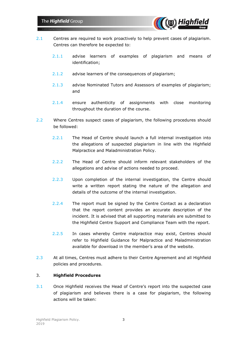

- 2.1 Centres are required to work proactively to help prevent cases of plagiarism. Centres can therefore be expected to:
	- 2.1.1 advise learners of examples of plagiarism and means of identification;
	- 2.1.2 advise learners of the consequences of plagiarism;
	- 2.1.3 advise Nominated Tutors and Assessors of examples of plagiarism; and
	- 2.1.4 ensure authenticity of assignments with close monitoring throughout the duration of the course.
- 2.2 Where Centres suspect cases of plagiarism, the following procedures should be followed:
	- 2.2.1 The Head of Centre should launch a full internal investigation into the allegations of suspected plagiarism in line with the Highfield Malpractice and Maladministration Policy.
	- 2.2.2 The Head of Centre should inform relevant stakeholders of the allegations and advise of actions needed to proceed.
	- 2.2.3 Upon completion of the internal investigation, the Centre should write a written report stating the nature of the allegation and details of the outcome of the internal investigation.
	- 2.2.4 The report must be signed by the Centre Contact as a declaration that the report content provides an accurate description of the incident. It is advised that all supporting materials are submitted to the Highfield Centre Support and Compliance Team with the report.
	- 2.2.5 In cases whereby Centre malpractice may exist, Centres should refer to Highfield Guidance for Malpractice and Maladministration available for download in the member's area of the website.
- 2.3 At all times, Centres must adhere to their Centre Agreement and all Highfield policies and procedures.

## 3. **Highfield Procedures**

3.1 Once Highfield receives the Head of Centre's report into the suspected case of plagiarism and believes there is a case for plagiarism, the following actions will be taken: